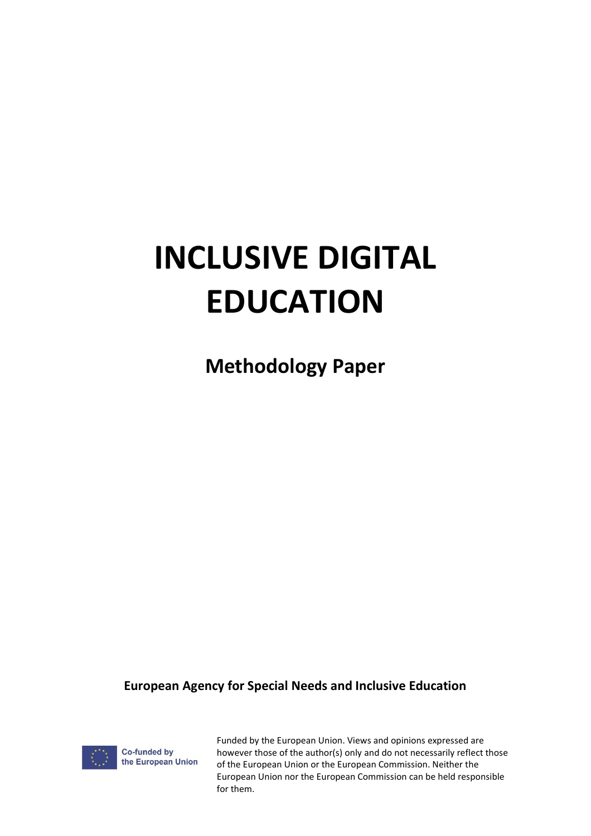# **INCLUSIVE DIGITAL EDUCATION**

**Methodology Paper**

**European Agency for Special Needs and Inclusive Education**



Funded by the European Union. Views and opinions expressed are however those of the author(s) only and do not necessarily reflect those of the European Union or the European Commission. Neither the European Union nor the European Commission can be held responsible for them.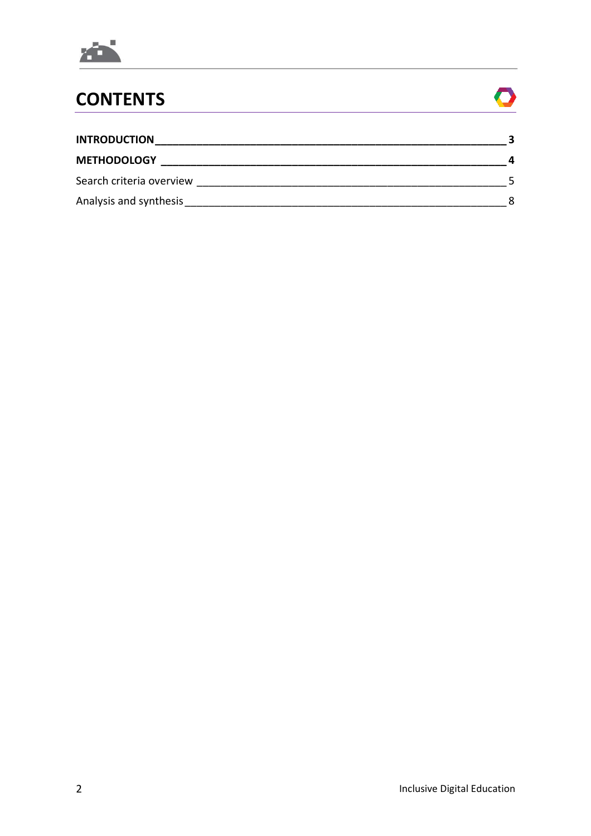

## **CONTENTS**



| <b>INTRODUCTION</b>      |  |
|--------------------------|--|
| <b>METHODOLOGY</b>       |  |
| Search criteria overview |  |
| Analysis and synthesis   |  |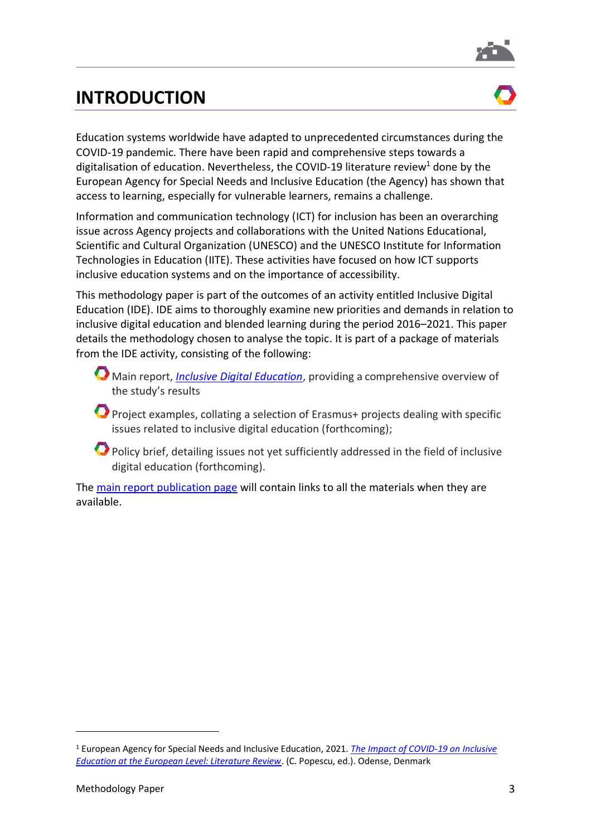

### <span id="page-2-0"></span>**INTRODUCTION**



Education systems worldwide have adapted to unprecedented circumstances during the COVID-19 pandemic. There have been rapid and comprehensive steps towards a digitalisation of education. Nevertheless, the COVID-19 literature review<sup>1</sup> done by the European Agency for Special Needs and Inclusive Education (the Agency) has shown that access to learning, especially for vulnerable learners, remains a challenge.

Information and communication technology (ICT) for inclusion has been an overarching issue across Agency projects and collaborations with the United Nations Educational, Scientific and Cultural Organization (UNESCO) and the UNESCO Institute for Information Technologies in Education (IITE). These activities have focused on how ICT supports inclusive education systems and on the importance of accessibility.

This methodology paper is part of the outcomes of an activity entitled Inclusive Digital Education (IDE). IDE aims to thoroughly examine new priorities and demands in relation to inclusive digital education and blended learning during the period 2016–2021. This paper details the methodology chosen to analyse the topic. It is part of a package of materials from the IDE activity, consisting of the following:

- Main report, *[Inclusive Digital Education](https://www.european-agency.org/resources/publications/inclusive-digital-education)*, providing a comprehensive overview of the study's results
- Project examples, collating a selection of Erasmus+ projects dealing with specific issues related to inclusive digital education (forthcoming);
- Policy brief, detailing issues not yet sufficiently addressed in the field of inclusive digital education (forthcoming).

The [main report publication page](https://www.european-agency.org/resources/publications/inclusive-digital-education) will contain links to all the materials when they are available.

<sup>1</sup> European Agency for Special Needs and Inclusive Education, 2021. *[The Impact of COVID-19 on Inclusive](https://www.european-agency.org/resources/publications/impact-covid-19-literature-review)  [Education at the European Level: Literature Review](https://www.european-agency.org/resources/publications/impact-covid-19-literature-review)*. (C. Popescu, ed.). Odense, Denmark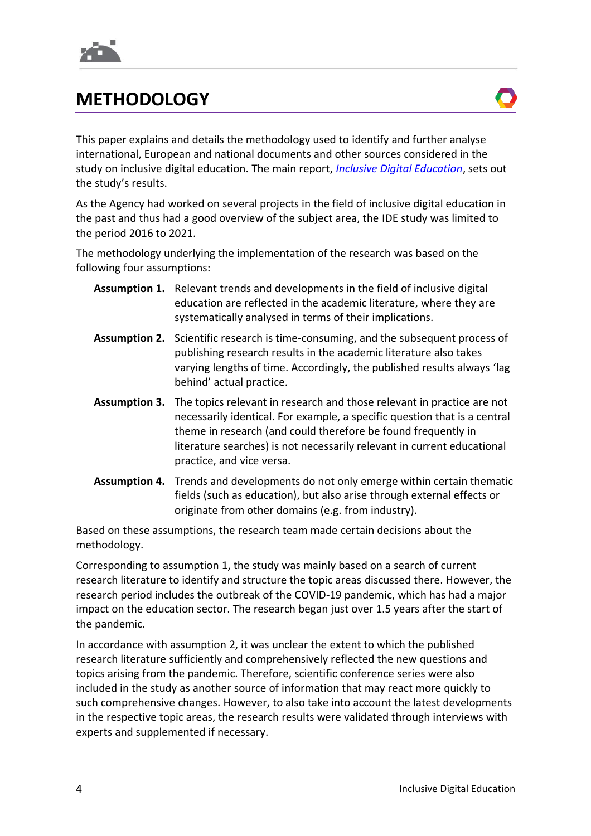

### <span id="page-3-0"></span>**METHODOLOGY**

This paper explains and details the methodology used to identify and further analyse international, European and national documents and other sources considered in the study on inclusive digital education. The main report, *[Inclusive Digital Education](https://www.european-agency.org/resources/publications/inclusive-digital-education)*, sets out the study's results.

As the Agency had worked on several projects in the field of inclusive digital education in the past and thus had a good overview of the subject area, the IDE study was limited to the period 2016 to 2021.

The methodology underlying the implementation of the research was based on the following four assumptions:

- **Assumption 1.** Relevant trends and developments in the field of inclusive digital education are reflected in the academic literature, where they are systematically analysed in terms of their implications.
- **Assumption 2.** Scientific research is time-consuming, and the subsequent process of publishing research results in the academic literature also takes varying lengths of time. Accordingly, the published results always 'lag behind' actual practice.
- **Assumption 3.** The topics relevant in research and those relevant in practice are not necessarily identical. For example, a specific question that is a central theme in research (and could therefore be found frequently in literature searches) is not necessarily relevant in current educational practice, and vice versa.
- **Assumption 4.** Trends and developments do not only emerge within certain thematic fields (such as education), but also arise through external effects or originate from other domains (e.g. from industry).

Based on these assumptions, the research team made certain decisions about the methodology.

Corresponding to assumption 1, the study was mainly based on a search of current research literature to identify and structure the topic areas discussed there. However, the research period includes the outbreak of the COVID-19 pandemic, which has had a major impact on the education sector. The research began just over 1.5 years after the start of the pandemic.

In accordance with assumption 2, it was unclear the extent to which the published research literature sufficiently and comprehensively reflected the new questions and topics arising from the pandemic. Therefore, scientific conference series were also included in the study as another source of information that may react more quickly to such comprehensive changes. However, to also take into account the latest developments in the respective topic areas, the research results were validated through interviews with experts and supplemented if necessary.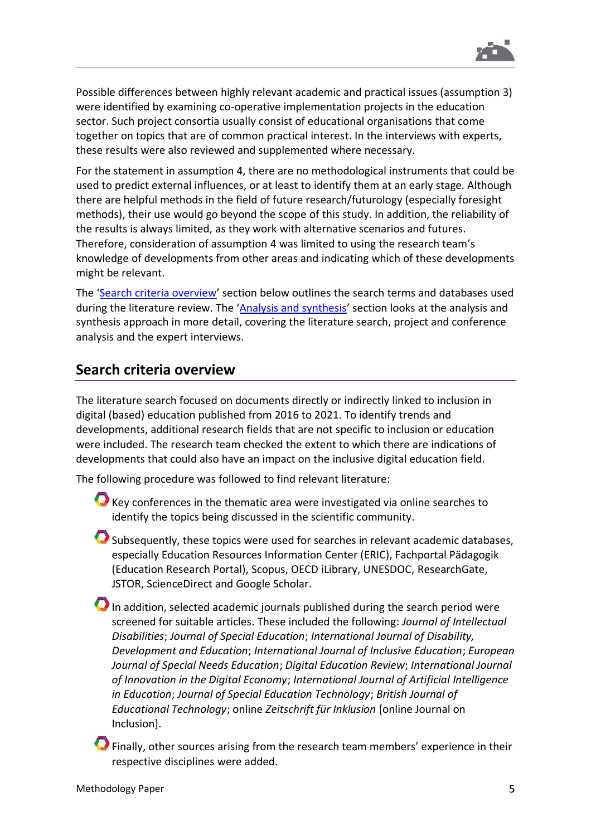

Possible differences between highly relevant academic and practical issues (assumption 3) were identified by examining co-operative implementation projects in the education sector. Such project consortia usually consist of educational organisations that come together on topics that are of common practical interest. In the interviews with experts, these results were also reviewed and supplemented where necessary.

For the statement in assumption 4, there are no methodological instruments that could be used to predict external influences, or at least to identify them at an early stage. Although there are helpful methods in the field of future research/futurology (especially foresight methods), their use would go beyond the scope of this study. In addition, the reliability of the results is always limited, as they work with alternative scenarios and futures. Therefore, consideration of assumption 4 was limited to using the research team's knowledge of developments from other areas and indicating which of these developments might be relevant.

The '[Search criteria overview](#page-4-0)' section below outlines the search terms and databases used during the literature review. The '[Analysis and synthesis](#page-7-0)' section looks at the analysis and synthesis approach in more detail, covering the literature search, project and conference analysis and the expert interviews.

#### <span id="page-4-0"></span>**Search criteria overview**

The literature search focused on documents directly or indirectly linked to inclusion in digital (based) education published from 2016 to 2021. To identify trends and developments, additional research fields that are not specific to inclusion or education were included. The research team checked the extent to which there are indications of developments that could also have an impact on the inclusive digital education field.

The following procedure was followed to find relevant literature:

- Key conferences in the thematic area were investigated via online searches to identify the topics being discussed in the scientific community.
- Subsequently, these topics were used for searches in relevant academic databases, especially Education Resources Information Center (ERIC), Fachportal Pädagogik (Education Research Portal), Scopus, OECD iLibrary, UNESDOC, ResearchGate, JSTOR, ScienceDirect and Google Scholar.
- In addition, selected academic journals published during the search period were screened for suitable articles. These included the following: *Journal of Intellectual Disabilities*; *Journal of Special Education*; *International Journal of Disability, Development and Education*; *International Journal of Inclusive Education*; *European Journal of Special Needs Education*; *Digital Education Review*; *International Journal of Innovation in the Digital Economy*; *International Journal of Artificial Intelligence in Education*; *Journal of Special Education Technology*; *British Journal of Educational Technology*; online *Zeitschrift für Inklusion* [online Journal on Inclusion].
- **O** Finally, other sources arising from the research team members' experience in their respective disciplines were added.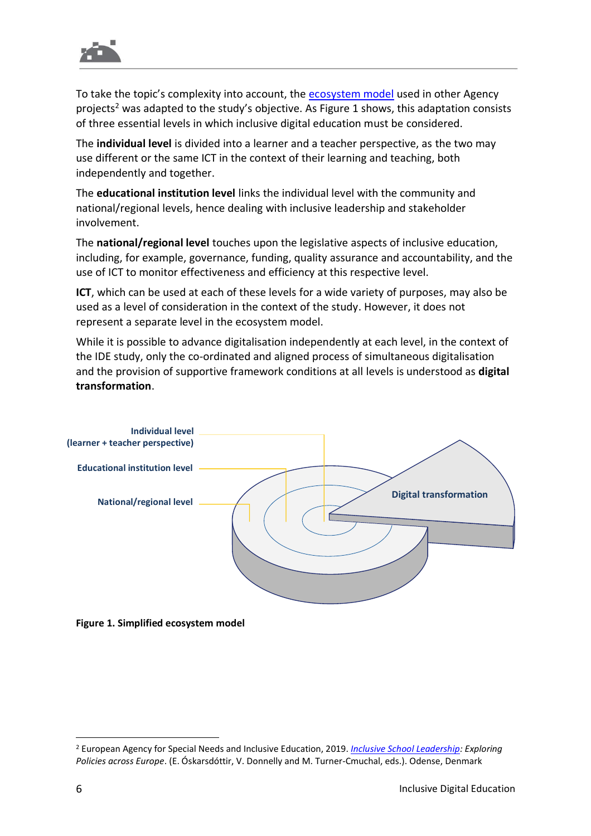

To take the topic's complexity into account, the [ecosystem model](https://www.european-agency.org/sites/default/files/sisl_synthesis_report.pdf#page=53) used in other Agency projects<sup>2</sup> was adapted to the study's objective. As [Figure](#page-5-0) 1 shows, this adaptation consists of three essential levels in which inclusive digital education must be considered.

The **individual level** is divided into a learner and a teacher perspective, as the two may use different or the same ICT in the context of their learning and teaching, both independently and together.

The **educational institution level** links the individual level with the community and national/regional levels, hence dealing with inclusive leadership and stakeholder involvement.

The **national/regional level** touches upon the legislative aspects of inclusive education, including, for example, governance, funding, quality assurance and accountability, and the use of ICT to monitor effectiveness and efficiency at this respective level.

**ICT**, which can be used at each of these levels for a wide variety of purposes, may also be used as a level of consideration in the context of the study. However, it does not represent a separate level in the ecosystem model.

While it is possible to advance digitalisation independently at each level, in the context of the IDE study, only the co-ordinated and aligned process of simultaneous digitalisation and the provision of supportive framework conditions at all levels is understood as **digital transformation**.



<span id="page-5-0"></span>**Figure 1. Simplified ecosystem model**

<sup>2</sup> European Agency for Special Needs and Inclusive Education, 2019. *[Inclusive School Leadership:](https://www.european-agency.org/resources/publications/inclusive-school-leadership-synthesis) Exploring Policies across Europe*. (E. Óskarsdóttir, V. Donnelly and M. Turner-Cmuchal, eds.). Odense, Denmark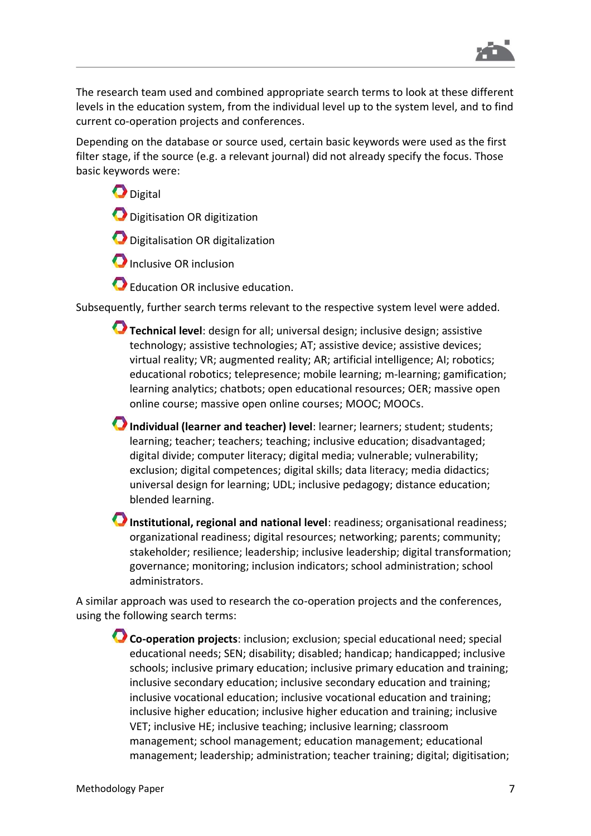

The research team used and combined appropriate search terms to look at these different levels in the education system, from the individual level up to the system level, and to find current co-operation projects and conferences.

Depending on the database or source used, certain basic keywords were used as the first filter stage, if the source (e.g. a relevant journal) did not already specify the focus. Those basic keywords were:

**D**igital Digitisation OR digitization

**O** Digitalisation OR digitalization

**O** Inclusive OR inclusion

Education OR inclusive education.

Subsequently, further search terms relevant to the respective system level were added.

- **Technical level**: design for all; universal design; inclusive design; assistive technology; assistive technologies; AT; assistive device; assistive devices; virtual reality; VR; augmented reality; AR; artificial intelligence; AI; robotics; educational robotics; telepresence; mobile learning; m-learning; gamification; learning analytics; chatbots; open educational resources; OER; massive open online course; massive open online courses; MOOC; MOOCs.
- **Individual (learner and teacher) level**: learner; learners; student; students; learning; teacher; teachers; teaching; inclusive education; disadvantaged; digital divide; computer literacy; digital media; vulnerable; vulnerability; exclusion; digital competences; digital skills; data literacy; media didactics; universal design for learning; UDL; inclusive pedagogy; distance education; blended learning.
- **Institutional, regional and national level**: readiness; organisational readiness; organizational readiness; digital resources; networking; parents; community; stakeholder; resilience; leadership; inclusive leadership; digital transformation; governance; monitoring; inclusion indicators; school administration; school administrators.

A similar approach was used to research the co-operation projects and the conferences, using the following search terms:

**Co-operation projects**: inclusion; exclusion; special educational need; special educational needs; SEN; disability; disabled; handicap; handicapped; inclusive schools; inclusive primary education; inclusive primary education and training; inclusive secondary education; inclusive secondary education and training; inclusive vocational education; inclusive vocational education and training; inclusive higher education; inclusive higher education and training; inclusive VET; inclusive HE; inclusive teaching; inclusive learning; classroom management; school management; education management; educational management; leadership; administration; teacher training; digital; digitisation;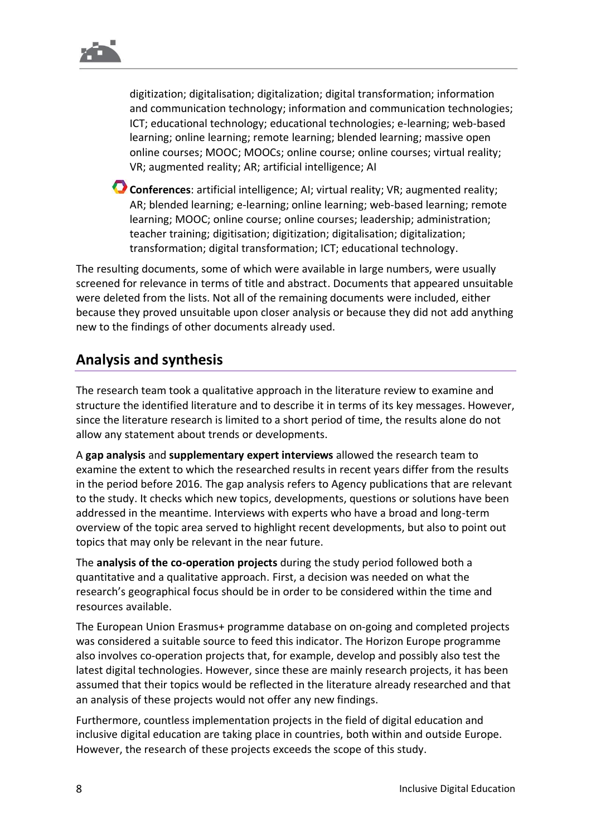digitization; digitalisation; digitalization; digital transformation; information and communication technology; information and communication technologies; ICT; educational technology; educational technologies; e-learning; web-based learning; online learning; remote learning; blended learning; massive open online courses; MOOC; MOOCs; online course; online courses; virtual reality; VR; augmented reality; AR; artificial intelligence; AI

**Conferences**: artificial intelligence; AI; virtual reality; VR; augmented reality; AR; blended learning; e-learning; online learning; web-based learning; remote learning; MOOC; online course; online courses; leadership; administration; teacher training; digitisation; digitization; digitalisation; digitalization; transformation; digital transformation; ICT; educational technology.

The resulting documents, some of which were available in large numbers, were usually screened for relevance in terms of title and abstract. Documents that appeared unsuitable were deleted from the lists. Not all of the remaining documents were included, either because they proved unsuitable upon closer analysis or because they did not add anything new to the findings of other documents already used.

#### <span id="page-7-0"></span>**Analysis and synthesis**

The research team took a qualitative approach in the literature review to examine and structure the identified literature and to describe it in terms of its key messages. However, since the literature research is limited to a short period of time, the results alone do not allow any statement about trends or developments.

A **gap analysis** and **supplementary expert interviews** allowed the research team to examine the extent to which the researched results in recent years differ from the results in the period before 2016. The gap analysis refers to Agency publications that are relevant to the study. It checks which new topics, developments, questions or solutions have been addressed in the meantime. Interviews with experts who have a broad and long-term overview of the topic area served to highlight recent developments, but also to point out topics that may only be relevant in the near future.

The **analysis of the co-operation projects** during the study period followed both a quantitative and a qualitative approach. First, a decision was needed on what the research's geographical focus should be in order to be considered within the time and resources available.

The European Union Erasmus+ programme database on on-going and completed projects was considered a suitable source to feed this indicator. The Horizon Europe programme also involves co-operation projects that, for example, develop and possibly also test the latest digital technologies. However, since these are mainly research projects, it has been assumed that their topics would be reflected in the literature already researched and that an analysis of these projects would not offer any new findings.

Furthermore, countless implementation projects in the field of digital education and inclusive digital education are taking place in countries, both within and outside Europe. However, the research of these projects exceeds the scope of this study.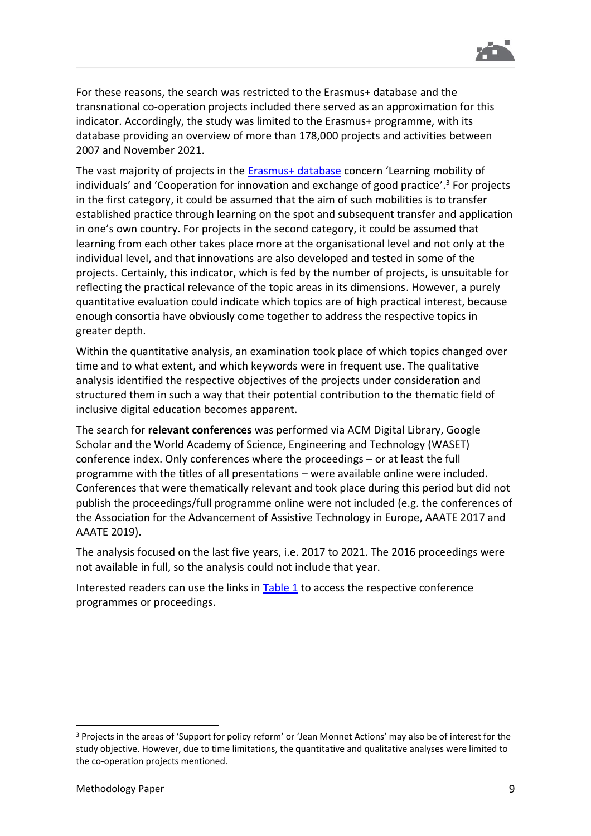

For these reasons, the search was restricted to the Erasmus+ database and the transnational co-operation projects included there served as an approximation for this indicator. Accordingly, the study was limited to the Erasmus+ programme, with its database providing an overview of more than 178,000 projects and activities between 2007 and November 2021.

The vast majority of projects in the [Erasmus+ database](https://erasmus-plus.ec.europa.eu/projects) concern 'Learning mobility of individuals' and 'Cooperation for innovation and exchange of good practice'. <sup>3</sup> For projects in the first category, it could be assumed that the aim of such mobilities is to transfer established practice through learning on the spot and subsequent transfer and application in one's own country. For projects in the second category, it could be assumed that learning from each other takes place more at the organisational level and not only at the individual level, and that innovations are also developed and tested in some of the projects. Certainly, this indicator, which is fed by the number of projects, is unsuitable for reflecting the practical relevance of the topic areas in its dimensions. However, a purely quantitative evaluation could indicate which topics are of high practical interest, because enough consortia have obviously come together to address the respective topics in greater depth.

Within the quantitative analysis, an examination took place of which topics changed over time and to what extent, and which keywords were in frequent use. The qualitative analysis identified the respective objectives of the projects under consideration and structured them in such a way that their potential contribution to the thematic field of inclusive digital education becomes apparent.

The search for **relevant conferences** was performed via ACM Digital Library, Google Scholar and the World Academy of Science, Engineering and Technology (WASET) conference index. Only conferences where the proceedings – or at least the full programme with the titles of all presentations – were available online were included. Conferences that were thematically relevant and took place during this period but did not publish the proceedings/full programme online were not included (e.g. the conferences of the Association for the Advancement of Assistive Technology in Europe, AAATE 2017 and AAATE 2019).

The analysis focused on the last five years, i.e. 2017 to 2021. The 2016 proceedings were not available in full, so the analysis could not include that year.

Interested readers can use the links in [Table](#page-9-0) 1 to access the respective conference programmes or proceedings.

<sup>3</sup> Projects in the areas of 'Support for policy reform' or 'Jean Monnet Actions' may also be of interest for the study objective. However, due to time limitations, the quantitative and qualitative analyses were limited to the co-operation projects mentioned.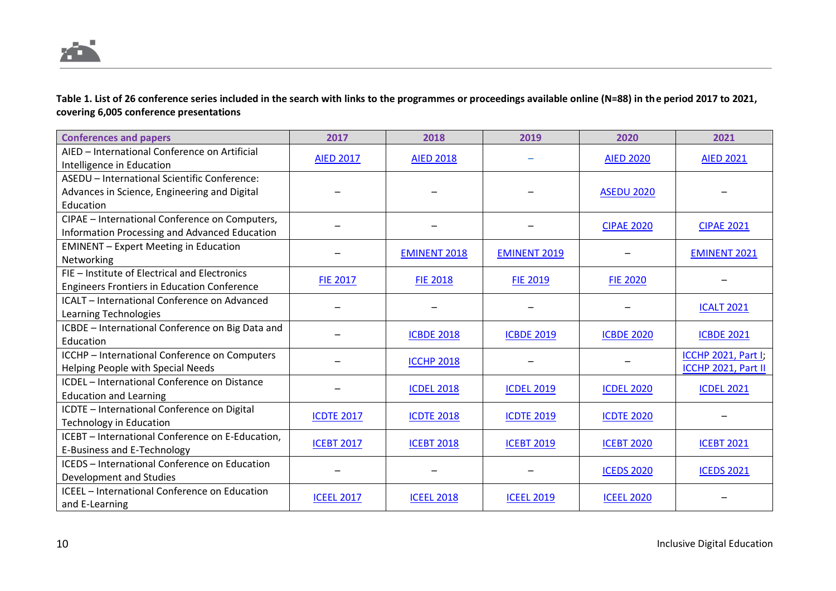

**Table 1. List of 26 conference series included in the search with links to the programmes or proceedings available online (N=88) in the period 2017 to 2021, covering 6,005 conference presentations**

<span id="page-9-0"></span>

| <b>Conferences and papers</b>                      | 2017              | 2018                               | 2019                | 2020              | 2021                       |                   |
|----------------------------------------------------|-------------------|------------------------------------|---------------------|-------------------|----------------------------|-------------------|
| AIED - International Conference on Artificial      | <b>AIED 2017</b>  | <b>AIED 2018</b>                   |                     | <b>AIED 2020</b>  | <b>AIED 2021</b>           |                   |
| Intelligence in Education                          |                   |                                    |                     |                   |                            |                   |
| ASEDU - International Scientific Conference:       |                   |                                    |                     |                   |                            |                   |
| Advances in Science, Engineering and Digital       |                   |                                    |                     | <b>ASEDU 2020</b> |                            |                   |
| Education                                          |                   |                                    |                     |                   |                            |                   |
| CIPAE - International Conference on Computers,     |                   |                                    |                     | <b>CIPAE 2020</b> | <b>CIPAE 2021</b>          |                   |
| Information Processing and Advanced Education      |                   |                                    |                     |                   |                            |                   |
| <b>EMINENT</b> - Expert Meeting in Education       |                   | <b>EMINENT 2018</b>                |                     |                   | <b>EMINENT 2021</b>        |                   |
| Networking                                         |                   |                                    | <b>EMINENT 2019</b> |                   |                            |                   |
| FIE - Institute of Electrical and Electronics      | <b>FIE 2017</b>   | <b>FIE 2018</b><br><b>FIE 2019</b> |                     | <b>FIE 2020</b>   |                            |                   |
| <b>Engineers Frontiers in Education Conference</b> |                   |                                    |                     |                   |                            |                   |
| ICALT - International Conference on Advanced       |                   |                                    |                     |                   |                            |                   |
| Learning Technologies                              |                   |                                    |                     |                   |                            | <b>ICALT 2021</b> |
| ICBDE - International Conference on Big Data and   |                   |                                    |                     |                   |                            |                   |
| Education                                          |                   | <b>ICBDE 2018</b>                  | <b>ICBDE 2019</b>   | <b>ICBDE 2020</b> | <b>ICBDE 2021</b>          |                   |
| ICCHP - International Conference on Computers      |                   | <b>ICCHP 2018</b>                  |                     |                   | <b>ICCHP 2021, Part I;</b> |                   |
| Helping People with Special Needs                  |                   |                                    |                     |                   | ICCHP 2021, Part II        |                   |
| ICDEL - International Conference on Distance       |                   |                                    | <b>ICDEL 2018</b>   | <b>ICDEL 2019</b> | <b>ICDEL 2020</b>          | <b>ICDEL 2021</b> |
| <b>Education and Learning</b>                      |                   |                                    |                     |                   |                            |                   |
| ICDTE - International Conference on Digital        |                   | <b>ICDTE 2018</b>                  | <b>ICDTE 2019</b>   | <b>ICDTE 2020</b> |                            |                   |
| <b>Technology in Education</b>                     | <b>ICDTE 2017</b> |                                    |                     |                   |                            |                   |
| ICEBT - International Conference on E-Education,   | <b>ICEBT 2017</b> | <b>ICEBT 2018</b>                  | <b>ICEBT 2019</b>   | <b>ICEBT 2020</b> | <b>ICEBT 2021</b>          |                   |
| E-Business and E-Technology                        |                   |                                    |                     |                   |                            |                   |
| ICEDS - International Conference on Education      |                   |                                    |                     | <b>ICEDS 2020</b> | <b>ICEDS 2021</b>          |                   |
| Development and Studies                            |                   |                                    |                     |                   |                            |                   |
| ICEEL - International Conference on Education      | <b>ICEEL 2017</b> | <b>ICEEL 2018</b>                  | <b>ICEEL 2019</b>   | <b>ICEEL 2020</b> |                            |                   |
| and E-Learning                                     |                   |                                    |                     |                   |                            |                   |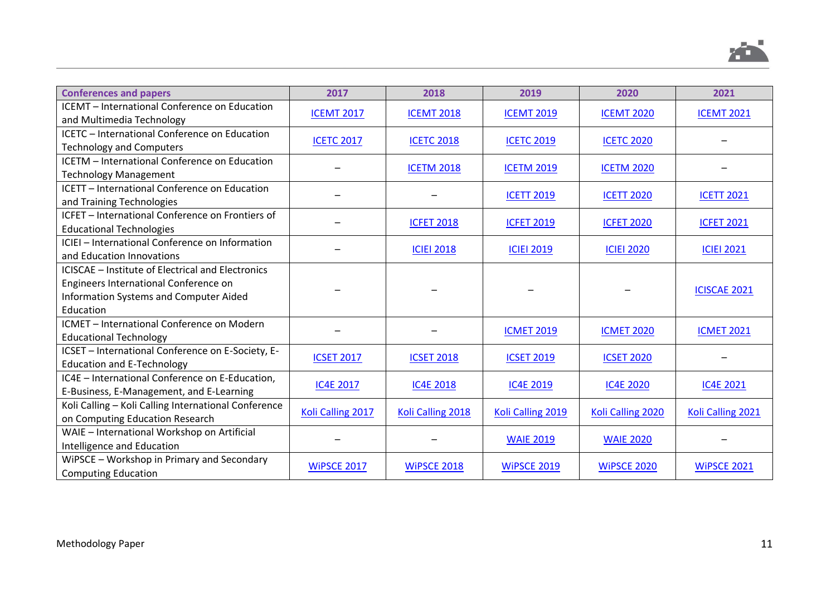

| <b>Conferences and papers</b>                        | 2017               | 2018               | 2019               | 2020               | 2021                |  |
|------------------------------------------------------|--------------------|--------------------|--------------------|--------------------|---------------------|--|
| ICEMT - International Conference on Education        | <b>ICEMT 2017</b>  | <b>ICEMT 2018</b>  | <b>ICEMT 2019</b>  | <b>ICEMT 2020</b>  | <b>ICEMT 2021</b>   |  |
| and Multimedia Technology                            |                    |                    |                    |                    |                     |  |
| ICETC - International Conference on Education        | <b>ICETC 2017</b>  | <b>ICETC 2018</b>  | <b>ICETC 2019</b>  | <b>ICETC 2020</b>  |                     |  |
| <b>Technology and Computers</b>                      |                    |                    |                    |                    |                     |  |
| ICETM - International Conference on Education        |                    | <b>ICETM 2018</b>  | <b>ICETM 2019</b>  | <b>ICETM 2020</b>  |                     |  |
| <b>Technology Management</b>                         |                    |                    |                    |                    |                     |  |
| ICETT - International Conference on Education        |                    |                    |                    |                    | <b>ICETT 2021</b>   |  |
| and Training Technologies                            |                    |                    | <b>ICETT 2019</b>  | <b>ICETT 2020</b>  |                     |  |
| ICFET - International Conference on Frontiers of     |                    |                    |                    |                    |                     |  |
| <b>Educational Technologies</b>                      |                    | <b>ICFET 2018</b>  | <b>ICFET 2019</b>  | <b>ICFET 2020</b>  | <b>ICFET 2021</b>   |  |
| ICIEI - International Conference on Information      |                    |                    |                    |                    |                     |  |
| and Education Innovations                            |                    | <b>ICIEI 2018</b>  | <b>ICIEI 2019</b>  | <b>ICIEI 2020</b>  | <b>ICIEI 2021</b>   |  |
| ICISCAE - Institute of Electrical and Electronics    |                    |                    |                    |                    |                     |  |
| Engineers International Conference on                |                    |                    |                    |                    |                     |  |
| <b>Information Systems and Computer Aided</b>        |                    |                    |                    |                    | <b>ICISCAE 2021</b> |  |
| Education                                            |                    |                    |                    |                    |                     |  |
| ICMET - International Conference on Modern           |                    |                    |                    |                    |                     |  |
| <b>Educational Technology</b>                        |                    | <b>ICMET 2019</b>  | <b>ICMET 2020</b>  | <b>ICMET 2021</b>  |                     |  |
| ICSET - International Conference on E-Society, E-    | <b>ICSET 2017</b>  |                    |                    |                    |                     |  |
| <b>Education and E-Technology</b>                    |                    | <b>ICSET 2018</b>  | <b>ICSET 2019</b>  | <b>ICSET 2020</b>  |                     |  |
| IC4E - International Conference on E-Education,      |                    |                    |                    |                    |                     |  |
| E-Business, E-Management, and E-Learning             | <b>IC4E 2017</b>   | <b>IC4E 2018</b>   | <b>IC4E 2019</b>   | <b>IC4E 2020</b>   | <b>IC4E 2021</b>    |  |
| Koli Calling - Koli Calling International Conference | Koli Calling 2017  |                    |                    |                    |                     |  |
| on Computing Education Research                      |                    | Koli Calling 2018  | Koli Calling 2019  | Koli Calling 2020  | Koli Calling 2021   |  |
| WAIE - International Workshop on Artificial          |                    |                    |                    |                    |                     |  |
| Intelligence and Education                           |                    |                    | <b>WAIE 2019</b>   | <b>WAIE 2020</b>   |                     |  |
| WiPSCE - Workshop in Primary and Secondary           | <b>WIPSCE 2017</b> |                    |                    |                    |                     |  |
| <b>Computing Education</b>                           |                    | <b>WIPSCE 2018</b> | <b>WIPSCE 2019</b> | <b>WIPSCE 2020</b> | <b>WIPSCE 2021</b>  |  |